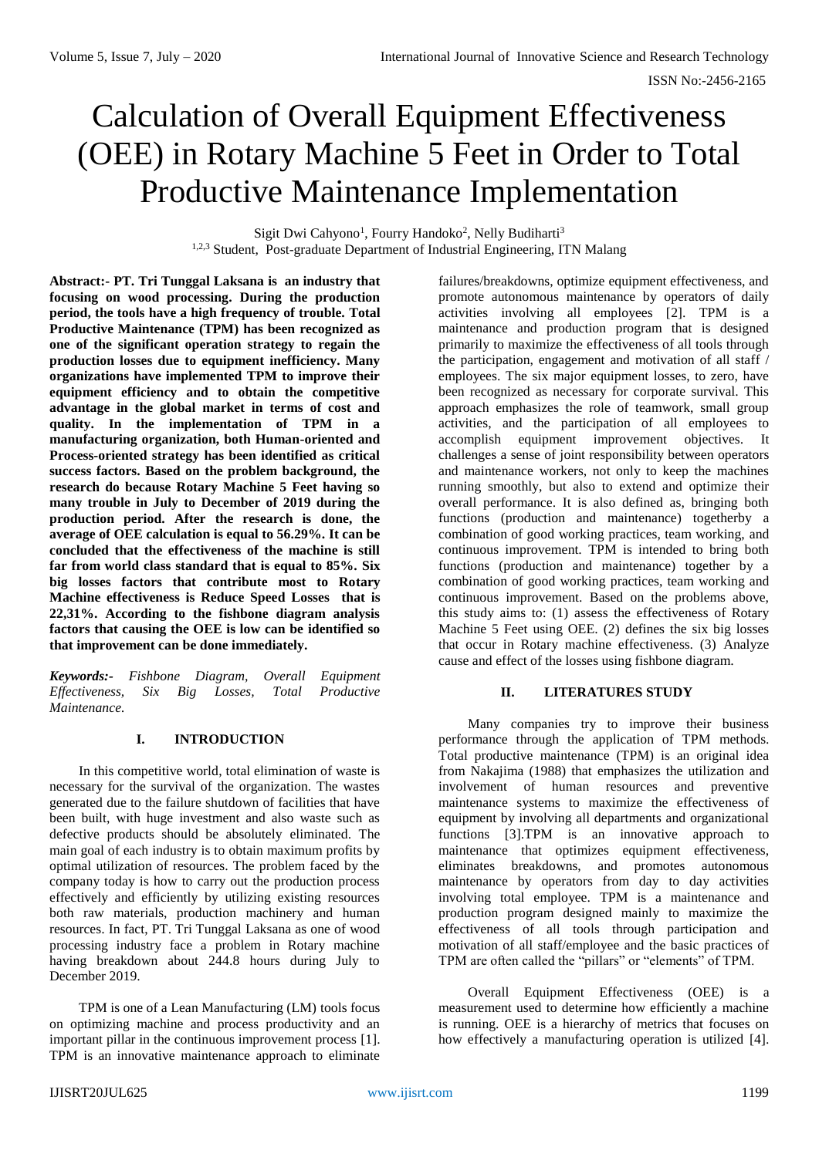# Calculation of Overall Equipment Effectiveness (OEE) in Rotary Machine 5 Feet in Order to Total Productive Maintenance Implementation

Sigit Dwi Cahyono<sup>1</sup>, Fourry Handoko<sup>2</sup>, Nelly Budiharti<sup>3</sup> <sup>1,2,3</sup> Student, Post-graduate Department of Industrial Engineering, ITN Malang

**Abstract:- PT. Tri Tunggal Laksana is an industry that focusing on wood processing. During the production period, the tools have a high frequency of trouble. Total Productive Maintenance (TPM) has been recognized as one of the significant operation strategy to regain the production losses due to equipment inefficiency. Many organizations have implemented TPM to improve their equipment efficiency and to obtain the competitive advantage in the global market in terms of cost and quality. In the implementation of TPM in a manufacturing organization, both Human-oriented and Process-oriented strategy has been identified as critical success factors. Based on the problem background, the research do because Rotary Machine 5 Feet having so many trouble in July to December of 2019 during the production period. After the research is done, the average of OEE calculation is equal to 56.29%. It can be concluded that the effectiveness of the machine is still far from world class standard that is equal to 85%. Six big losses factors that contribute most to Rotary Machine effectiveness is Reduce Speed Losses that is 22,31%. According to the fishbone diagram analysis factors that causing the OEE is low can be identified so that improvement can be done immediately.**

*Keywords:- Fishbone Diagram, Overall Equipment Effectiveness, Six Big Losses, Total Productive Maintenance.*

# **I. INTRODUCTION**

In this competitive world, total elimination of waste is necessary for the survival of the organization. The wastes generated due to the failure shutdown of facilities that have been built, with huge investment and also waste such as defective products should be absolutely eliminated. The main goal of each industry is to obtain maximum profits by optimal utilization of resources. The problem faced by the company today is how to carry out the production process effectively and efficiently by utilizing existing resources both raw materials, production machinery and human resources. In fact, PT. Tri Tunggal Laksana as one of wood processing industry face a problem in Rotary machine having breakdown about 244.8 hours during July to December 2019.

TPM is one of a Lean Manufacturing (LM) tools focus on optimizing machine and process productivity and an important pillar in the continuous improvement process [1]. TPM is an innovative maintenance approach to eliminate

failures/breakdowns, optimize equipment effectiveness, and promote autonomous maintenance by operators of daily activities involving all employees [2]. TPM is a maintenance and production program that is designed primarily to maximize the effectiveness of all tools through the participation, engagement and motivation of all staff / employees. The six major equipment losses, to zero, have been recognized as necessary for corporate survival. This approach emphasizes the role of teamwork, small group activities, and the participation of all employees to accomplish equipment improvement objectives. It challenges a sense of joint responsibility between operators and maintenance workers, not only to keep the machines running smoothly, but also to extend and optimize their overall performance. It is also defined as, bringing both functions (production and maintenance) togetherby a combination of good working practices, team working, and continuous improvement. TPM is intended to bring both functions (production and maintenance) together by a combination of good working practices, team working and continuous improvement. Based on the problems above, this study aims to: (1) assess the effectiveness of Rotary Machine 5 Feet using OEE. (2) defines the six big losses that occur in Rotary machine effectiveness. (3) Analyze cause and effect of the losses using fishbone diagram.

# **II. LITERATURES STUDY**

Many companies try to improve their business performance through the application of TPM methods. Total productive maintenance (TPM) is an original idea from Nakajima (1988) that emphasizes the utilization and involvement of human resources and preventive maintenance systems to maximize the effectiveness of equipment by involving all departments and organizational functions [3].TPM is an innovative approach to maintenance that optimizes equipment effectiveness, eliminates breakdowns, and promotes autonomous maintenance by operators from day to day activities involving total employee. TPM is a maintenance and production program designed mainly to maximize the effectiveness of all tools through participation and motivation of all staff/employee and the basic practices of TPM are often called the "pillars" or "elements" of TPM.

Overall Equipment Effectiveness (OEE) is a measurement used to determine how efficiently a machine is running. OEE is a hierarchy of metrics that focuses on how effectively a manufacturing operation is utilized [4].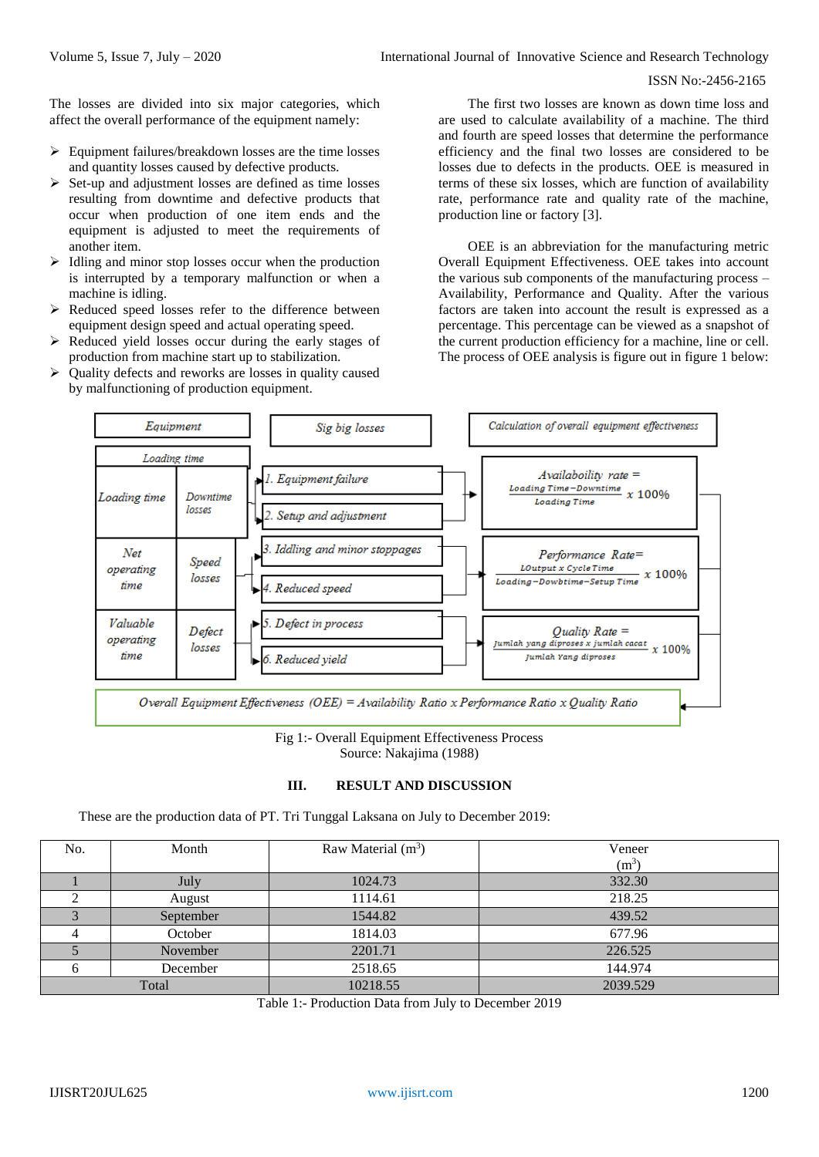#### ISSN No:-2456-2165

The losses are divided into six major categories, which affect the overall performance of the equipment namely:

- $\triangleright$  Equipment failures/breakdown losses are the time losses and quantity losses caused by defective products.
- $\triangleright$  Set-up and adjustment losses are defined as time losses resulting from downtime and defective products that occur when production of one item ends and the equipment is adjusted to meet the requirements of another item.
- $\triangleright$  Idling and minor stop losses occur when the production is interrupted by a temporary malfunction or when a machine is idling.
- $\triangleright$  Reduced speed losses refer to the difference between equipment design speed and actual operating speed.
- $\triangleright$  Reduced yield losses occur during the early stages of production from machine start up to stabilization.
- $\triangleright$  Quality defects and reworks are losses in quality caused by malfunctioning of production equipment.

The first two losses are known as down time loss and are used to calculate availability of a machine. The third and fourth are speed losses that determine the performance efficiency and the final two losses are considered to be losses due to defects in the products. OEE is measured in terms of these six losses, which are function of availability rate, performance rate and quality rate of the machine, production line or factory [3].

OEE is an abbreviation for the manufacturing metric Overall Equipment Effectiveness. OEE takes into account the various sub components of the manufacturing process – Availability, Performance and Quality. After the various factors are taken into account the result is expressed as a percentage. This percentage can be viewed as a snapshot of the current production efficiency for a machine, line or cell. The process of OEE analysis is figure out in figure 1 below:



Fig 1:- Overall Equipment Effectiveness Process Source: Nakajima (1988)

# **III. RESULT AND DISCUSSION**

These are the production data of PT. Tri Tunggal Laksana on July to December 2019:

| No.   | Month     | Raw Material $(m^3)$ | Veneer   |
|-------|-----------|----------------------|----------|
|       |           |                      | $(m^3)$  |
|       | July      | 1024.73              | 332.30   |
|       | August    | 1114.61              | 218.25   |
|       | September | 1544.82              | 439.52   |
|       | October   | 1814.03              | 677.96   |
|       | November  | 2201.71              | 226.525  |
|       | December  | 2518.65              | 144.974  |
| Total |           | 10218.55             | 2039.529 |

Table 1:- Production Data from July to December 2019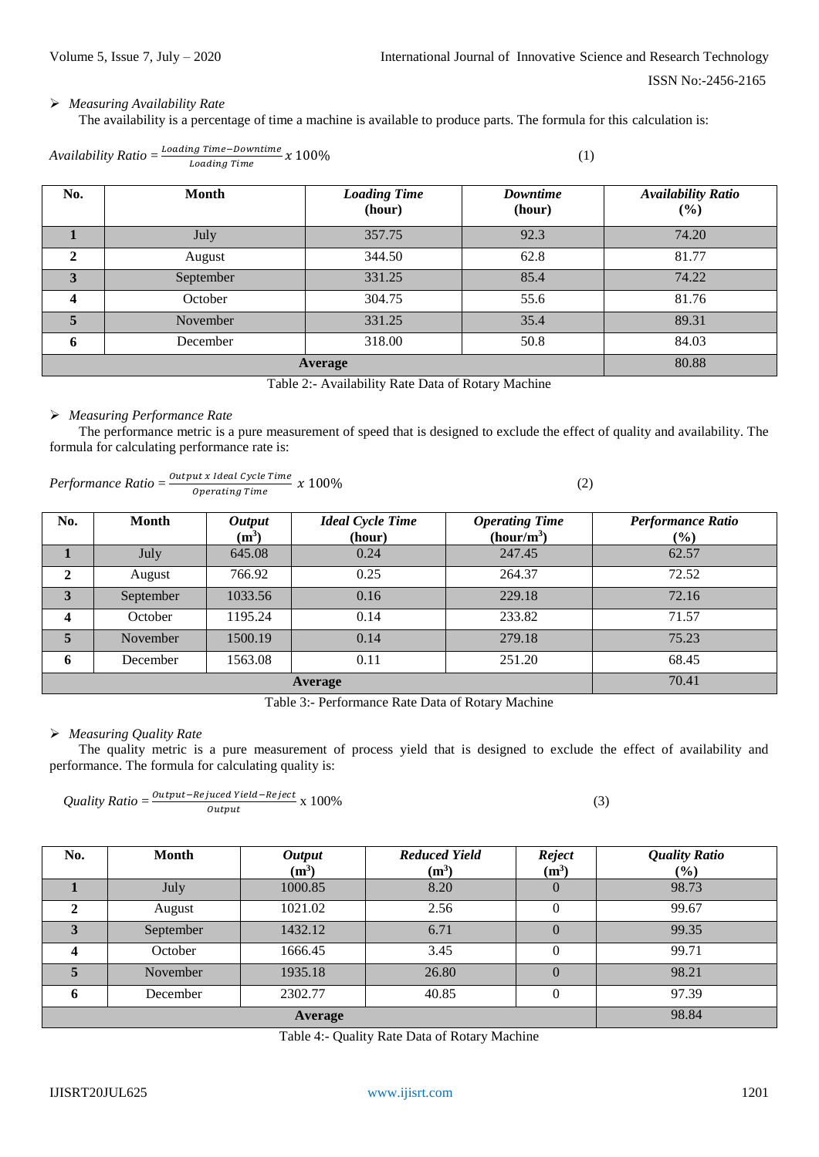# *Measuring Availability Rate*

The availability is a percentage of time a machine is available to produce parts. The formula for this calculation is:

| Loading Time–Downtime<br>$x\,100\%$<br>Availability Ratio $=\frac{Louu}{2}$<br>Loading Time |       |                               |                    |                                            |
|---------------------------------------------------------------------------------------------|-------|-------------------------------|--------------------|--------------------------------------------|
| No.                                                                                         | Month | <b>Loading Time</b><br>(hour) | Downtime<br>(hour) | <b>Availability Ratio</b><br>$\frac{1}{2}$ |

|                |           | (nour) | (nour) | $(\%)$ |
|----------------|-----------|--------|--------|--------|
|                | July      | 357.75 | 92.3   | 74.20  |
|                | August    | 344.50 | 62.8   | 81.77  |
|                | September | 331.25 | 85.4   | 74.22  |
|                | October   | 304.75 | 55.6   | 81.76  |
|                | November  | 331.25 | 35.4   | 89.31  |
| 6              | December  | 318.00 | 50.8   | 84.03  |
| <b>Average</b> |           |        |        | 80.88  |

Table 2:- Availability Rate Data of Rotary Machine

#### *Measuring Performance Rate*

The performance metric is a pure measurement of speed that is designed to exclude the effect of quality and availability. The formula for calculating performance rate is:

$$
Performance Ratio = \frac{Output \times Ideal \, Cycle \, Time}{Operating \, Time} \times 100\%
$$
\n
$$
(2)
$$

| No.     | Month     | <b>Output</b><br>$(m^3)$ | <b>Ideal Cycle Time</b><br>(hour) | <b>Operating Time</b><br>(hour/m <sup>3</sup> ) | <b>Performance Ratio</b><br>$(\%)$ |
|---------|-----------|--------------------------|-----------------------------------|-------------------------------------------------|------------------------------------|
|         | July      | 645.08                   | 0.24                              | 247.45                                          | 62.57                              |
| 2       | August    | 766.92                   | 0.25                              | 264.37                                          | 72.52                              |
| 3       | September | 1033.56                  | 0.16                              | 229.18                                          | 72.16                              |
| 4       | October   | 1195.24                  | 0.14                              | 233.82                                          | 71.57                              |
| 5       | November  | 1500.19                  | 0.14                              | 279.18                                          | 75.23                              |
| 6       | December  | 1563.08                  | 0.11                              | 251.20                                          | 68.45                              |
| Average |           |                          |                                   |                                                 | 70.41                              |

Table 3:- Performance Rate Data of Rotary Machine

# *Measuring Quality Rate*

The quality metric is a pure measurement of process yield that is designed to exclude the effect of availability and performance. The formula for calculating quality is:

*Quality Ratio* = 
$$
\frac{Output - Rejuced Yield - Reject}{Output} \times 100\%
$$
 (3)

| No.     | <b>Month</b> | <b>Output</b><br>$(m^3)$ | <b>Reduced Yield</b><br>$(m^3)$ | <b>Reject</b><br>$(m^3)$ | <b>Quality Ratio</b><br>$(\%)$ |
|---------|--------------|--------------------------|---------------------------------|--------------------------|--------------------------------|
|         | July         | 1000.85                  | 8.20                            | $\theta$                 | 98.73                          |
|         | August       | 1021.02                  | 2.56                            | 0                        | 99.67                          |
|         | September    | 1432.12                  | 6.71                            | $\theta$                 | 99.35                          |
| Δ       | October      | 1666.45                  | 3.45                            | $\theta$                 | 99.71                          |
|         | November     | 1935.18                  | 26.80                           | O                        | 98.21                          |
| 6       | December     | 2302.77                  | 40.85                           | $\theta$                 | 97.39                          |
| Average |              |                          |                                 |                          | 98.84                          |

Table 4:- Quality Rate Data of Rotary Machine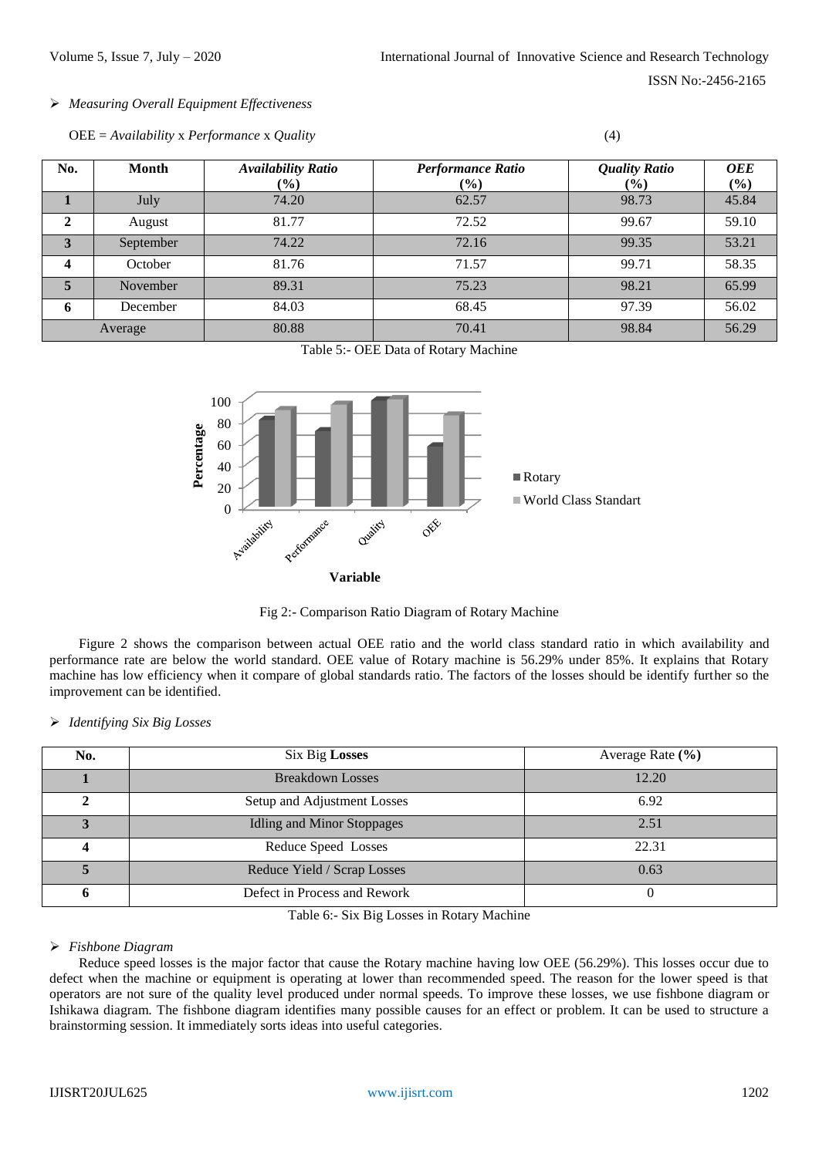# *Measuring Overall Equipment Effectiveness*

| $\overline{OEE} = \Delta$ vailability x Performance x Quality |  |
|---------------------------------------------------------------|--|
|---------------------------------------------------------------|--|

| No.                     | Month     | <b>Availability Ratio</b><br>$(\%)$ | <b>Performance Ratio</b><br>$(\%)$ | <b>Quality Ratio</b><br>$(\%)$ | <b>OEE</b><br>(%) |
|-------------------------|-----------|-------------------------------------|------------------------------------|--------------------------------|-------------------|
|                         | July      | 74.20                               | 62.57                              | 98.73                          | 45.84             |
| $\mathbf{2}$            | August    | 81.77                               | 72.52                              | 99.67                          | 59.10             |
| 3                       | September | 74.22                               | 72.16                              | 99.35                          | 53.21             |
| $\overline{\mathbf{4}}$ | October   | 81.76                               | 71.57                              | 99.71                          | 58.35             |
| 5                       | November  | 89.31                               | 75.23                              | 98.21                          | 65.99             |
| 6                       | December  | 84.03                               | 68.45                              | 97.39                          | 56.02             |
|                         | Average   | 80.88                               | 70.41                              | 98.84                          | 56.29             |

Table 5:- OEE Data of Rotary Machine



Fig 2:- Comparison Ratio Diagram of Rotary Machine

Figure 2 shows the comparison between actual OEE ratio and the world class standard ratio in which availability and performance rate are below the world standard. OEE value of Rotary machine is 56.29% under 85%. It explains that Rotary machine has low efficiency when it compare of global standards ratio. The factors of the losses should be identify further so the improvement can be identified.

| $\triangleright$ Identifying Six Big Losses |  |
|---------------------------------------------|--|
|                                             |  |

| No. | <b>Six Big Losses</b>             | Average Rate (%) |
|-----|-----------------------------------|------------------|
|     | <b>Breakdown Losses</b>           | 12.20            |
|     | Setup and Adjustment Losses       | 6.92             |
|     | <b>Idling and Minor Stoppages</b> | 2.51             |
|     | Reduce Speed Losses               | 22.31            |
|     | Reduce Yield / Scrap Losses       | 0.63             |
| n   | Defect in Process and Rework      |                  |

Table 6:- Six Big Losses in Rotary Machine

# *Fishbone Diagram*

Reduce speed losses is the major factor that cause the Rotary machine having low OEE (56.29%). This losses occur due to defect when the machine or equipment is operating at lower than recommended speed. The reason for the lower speed is that operators are not sure of the quality level produced under normal speeds. To improve these losses, we use fishbone diagram or Ishikawa diagram. The fishbone diagram identifies many possible causes for an effect or problem. It can be used to structure a brainstorming session. It immediately sorts ideas into useful categories.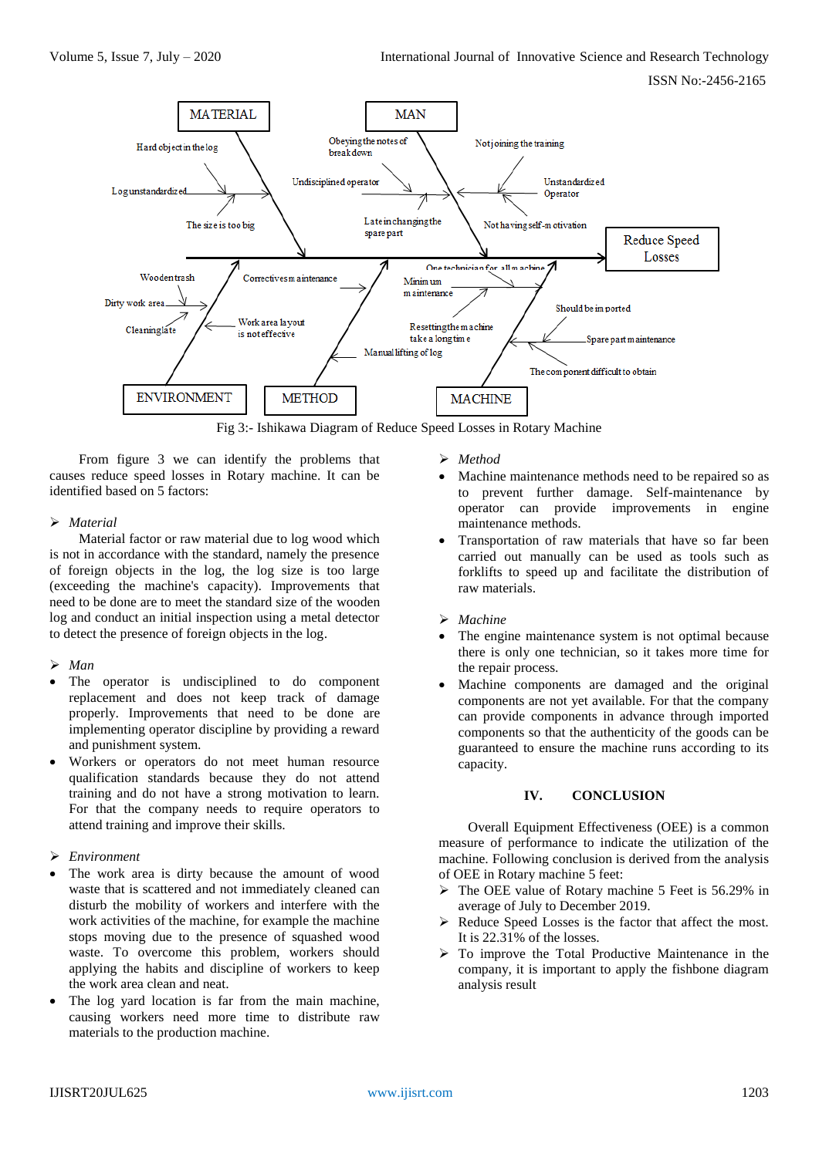

From figure 3 we can identify the problems that causes reduce speed losses in Rotary machine. It can be identified based on 5 factors:

## *Material*

Material factor or raw material due to log wood which is not in accordance with the standard, namely the presence of foreign objects in the log, the log size is too large (exceeding the machine's capacity). Improvements that need to be done are to meet the standard size of the wooden log and conduct an initial inspection using a metal detector to detect the presence of foreign objects in the log.

# *Man*

- The operator is undisciplined to do component replacement and does not keep track of damage properly. Improvements that need to be done are implementing operator discipline by providing a reward and punishment system.
- Workers or operators do not meet human resource qualification standards because they do not attend training and do not have a strong motivation to learn. For that the company needs to require operators to attend training and improve their skills.

# *Environment*

- The work area is dirty because the amount of wood waste that is scattered and not immediately cleaned can disturb the mobility of workers and interfere with the work activities of the machine, for example the machine stops moving due to the presence of squashed wood waste. To overcome this problem, workers should applying the habits and discipline of workers to keep the work area clean and neat.
- The log yard location is far from the main machine, causing workers need more time to distribute raw materials to the production machine.
- *Method*
- Machine maintenance methods need to be repaired so as to prevent further damage. Self-maintenance by operator can provide improvements in engine maintenance methods.
- Transportation of raw materials that have so far been carried out manually can be used as tools such as forklifts to speed up and facilitate the distribution of raw materials.
- *Machine*
- The engine maintenance system is not optimal because there is only one technician, so it takes more time for the repair process.
- Machine components are damaged and the original components are not yet available. For that the company can provide components in advance through imported components so that the authenticity of the goods can be guaranteed to ensure the machine runs according to its capacity.

# **IV. CONCLUSION**

Overall Equipment Effectiveness (OEE) is a common measure of performance to indicate the utilization of the machine. Following conclusion is derived from the analysis of OEE in Rotary machine 5 feet:

- The OEE value of Rotary machine 5 Feet is 56.29% in average of July to December 2019.
- $\triangleright$  Reduce Speed Losses is the factor that affect the most. It is 22.31% of the losses.
- > To improve the Total Productive Maintenance in the company, it is important to apply the fishbone diagram analysis result